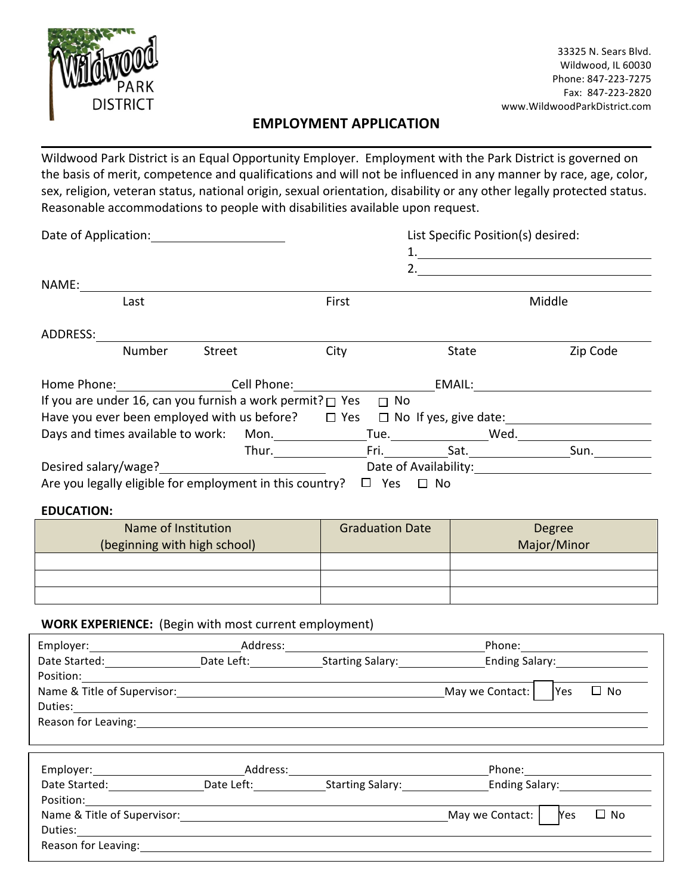

## **EMPLOYMENT APPLICATION**

Wildwood Park District is an Equal Opportunity Employer. Employment with the Park District is governed on the basis of merit, competence and qualifications and will not be influenced in any manner by race, age, color, sex, religion, veteran status, national origin, sexual orientation, disability or any other legally protected status. Reasonable accommodations to people with disabilities available upon request.

| Date of Application: Note that the property of the property of the property of the property of the property of the property of the property of the property of the property of the property of the property of the property of |                              |                                                                          | List Specific Position(s) desired:        |                 |                                                                                                                        |  |  |
|--------------------------------------------------------------------------------------------------------------------------------------------------------------------------------------------------------------------------------|------------------------------|--------------------------------------------------------------------------|-------------------------------------------|-----------------|------------------------------------------------------------------------------------------------------------------------|--|--|
|                                                                                                                                                                                                                                |                              |                                                                          |                                           |                 | 1.                                                                                                                     |  |  |
|                                                                                                                                                                                                                                |                              |                                                                          |                                           |                 |                                                                                                                        |  |  |
| NAME:                                                                                                                                                                                                                          |                              |                                                                          |                                           |                 |                                                                                                                        |  |  |
| Last                                                                                                                                                                                                                           |                              | First                                                                    |                                           |                 | Middle                                                                                                                 |  |  |
| ADDRESS:                                                                                                                                                                                                                       |                              |                                                                          |                                           |                 |                                                                                                                        |  |  |
|                                                                                                                                                                                                                                | Number<br><b>Street</b>      | City                                                                     |                                           | State           | Zip Code                                                                                                               |  |  |
| Home Phone: Cell Phone: Cell Phone:                                                                                                                                                                                            |                              |                                                                          |                                           | EMAIL:          |                                                                                                                        |  |  |
| If you are under 16, can you furnish a work permit? $\Box$ Yes $\Box$ No                                                                                                                                                       |                              |                                                                          |                                           |                 |                                                                                                                        |  |  |
|                                                                                                                                                                                                                                |                              |                                                                          |                                           |                 | Have you ever been employed with us before? $\Box$ Yes $\Box$ No If yes, give date:                                    |  |  |
|                                                                                                                                                                                                                                |                              |                                                                          |                                           |                 |                                                                                                                        |  |  |
|                                                                                                                                                                                                                                |                              |                                                                          |                                           |                 | Thur. Fri. Sat. Sat. Sun.                                                                                              |  |  |
|                                                                                                                                                                                                                                |                              |                                                                          |                                           |                 |                                                                                                                        |  |  |
| Are you legally eligible for employment in this country? $\Box$ Yes $\Box$ No                                                                                                                                                  |                              |                                                                          |                                           |                 |                                                                                                                        |  |  |
| <b>EDUCATION:</b>                                                                                                                                                                                                              |                              |                                                                          |                                           |                 |                                                                                                                        |  |  |
|                                                                                                                                                                                                                                | Name of Institution          |                                                                          | <b>Graduation Date</b>                    |                 | Degree                                                                                                                 |  |  |
|                                                                                                                                                                                                                                | (beginning with high school) |                                                                          |                                           |                 | Major/Minor                                                                                                            |  |  |
|                                                                                                                                                                                                                                |                              |                                                                          |                                           |                 |                                                                                                                        |  |  |
|                                                                                                                                                                                                                                |                              |                                                                          |                                           |                 |                                                                                                                        |  |  |
|                                                                                                                                                                                                                                |                              |                                                                          |                                           |                 |                                                                                                                        |  |  |
| <b>WORK EXPERIENCE:</b> (Begin with most current employment)                                                                                                                                                                   |                              |                                                                          |                                           |                 |                                                                                                                        |  |  |
|                                                                                                                                                                                                                                |                              |                                                                          |                                           |                 |                                                                                                                        |  |  |
|                                                                                                                                                                                                                                |                              |                                                                          |                                           |                 | Date Started: Cambridge Contract Contract Date Left: Cambridge Starting Salary: Cambridge Contract Contract Date Left: |  |  |
| Position: The control of the control of the control of the control of the control of the control of the control of the control of the control of the control of the control of the control of the control of the control of th |                              | <u> 1980 - Johann Barn, amerikan bestemanns eta ingilaria (h. 1980).</u> |                                           |                 |                                                                                                                        |  |  |
|                                                                                                                                                                                                                                |                              |                                                                          |                                           |                 | $\Box$ No                                                                                                              |  |  |
|                                                                                                                                                                                                                                |                              |                                                                          |                                           |                 |                                                                                                                        |  |  |
| Reason for Leaving: The Contract of the Contract of the Contract of the Contract of the Contract of the Contract of the Contract of the Contract of the Contract of the Contract of the Contract of the Contract of the Contra |                              |                                                                          |                                           |                 |                                                                                                                        |  |  |
|                                                                                                                                                                                                                                |                              |                                                                          |                                           |                 |                                                                                                                        |  |  |
| Employer: Address:                                                                                                                                                                                                             |                              |                                                                          | Date Started: Date Left: Starting Salary: |                 |                                                                                                                        |  |  |
| Position: The control of the control of the control of the control of the control of the control of the control of the control of the control of the control of the control of the control of the control of the control of th |                              |                                                                          |                                           |                 | Ending Salary:<br><u>Letting</u>                                                                                       |  |  |
| Name & Title of Supervisor: Name & Title of Supervisor:                                                                                                                                                                        |                              |                                                                          |                                           | May we Contact: | $\Box$ No<br><b>Yes</b>                                                                                                |  |  |
| Duties:                                                                                                                                                                                                                        |                              |                                                                          |                                           |                 |                                                                                                                        |  |  |
| Reason for Leaving:                                                                                                                                                                                                            |                              |                                                                          |                                           |                 |                                                                                                                        |  |  |